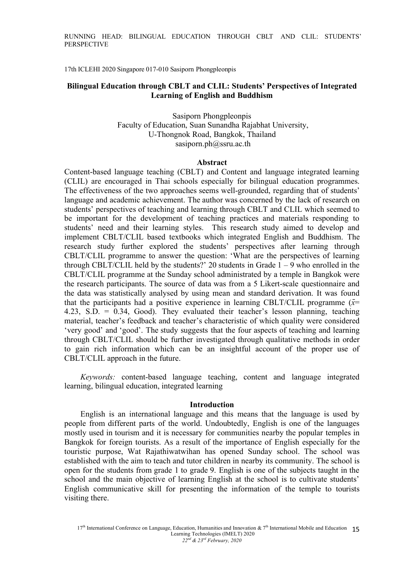RUNNING HEAD: BILINGUAL EDUCATION THROUGH CBLT AND CLIL: STUDENTS' **PERSPECTIVE** 

17th ICLEHI 2020 Singapore 017-010 Sasiporn Phongpleonpis

## Bilingual Education through CBLT and CLIL: Students' Perspectives of Integrated Learning of English and Buddhism

Sasiporn Phongpleonpis Faculty of Education, Suan Sunandha Aajabhat University, U-Thongnok Aoad, Bangkok, Thailand sasiporn.ph@ssru.ac.th

#### Abstract

Content-based language teaching (CBLT) and Content and language integrated learning (CLIL) are encouraged in Thai schools especially for bilingual education programmes. The effectiveness of the two approaches seems well-grounded, regarding that of students' language and academic achievement. The author was concerned by the lack of research on students' perspectives of teaching and learning through CBLT and CLIL which seemed to be important for the development of teaching practices and materials responding to students' need and their learning styles. This research study aimed to develop and implement CBLT/CLIL based textbooks which integrated English and Buddhism. The research study further explored the students' perspectives after learning through CBLT/CLIL programme to answer the question: 'What are the perspectives of learning through CBLT/CLIL held by the students?' 20 students in Grade  $1 - 9$  who enrolled in the CBLT/CLIL programme at the Sunday school administrated by a temple in Bangkok were the research participants. The source of data was from a 5 Likert-scale questionnaire and the data was statistically analysed by using mean and standard derivation. It was found that the participants had a positive experience in learning CBLT/CLIL programme  $(\bar{x}$ 4.23, S.D. =  $0.34$ , Good). They evaluated their teacher's lesson planning, teaching material, teacher's feedback and teacher's characteristic of which quality were considered 'very good' and 'good'. The study suggests that the four aspects of teaching and learning through CBLT/CLIL should be further investigated through qualitative methods in order to gain rich information which can be an insightful account of the proper use of CBLT/CLIL approach in the future.

Keywords: content-based language teaching, content and language integrated learning, bilingual education, integrated learning

#### Introduction

English is an international language and this means that the language is used by people from different parts of the world. Undoubtedly, English is one of the languages mostly used in tourism and it is necessary for communities nearby the popular temples in Bangkok for foreign tourists. As a result of the importance of English especially for the touristic purpose, Wat Aajathiwatwihan has opened Sunday school. The school was established with the aim to teach and tutor children in nearby its community. The school is open for the students from grade 1 to grade 9. English is one of the subjects taught in the school and the main objective of learning English at the school is to cultivate students' English communicative skill for presenting the information of the temple to tourists visiting there.

 $17<sup>th</sup>$  International Conference on Language, Education, Humanities and Innovation &  $7<sup>th</sup>$  International Mobile and Education 15 Learning Technologies (IMELT) 2020  $22^{nd}$  &  $23^{rd}$  February, 2020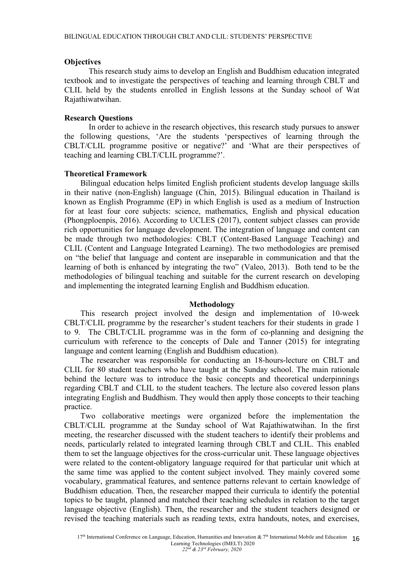#### **Objectives**

This research study aims to develop an English and Buddhism education integrated textbook and to investigate the perspectives of teaching and learning through CBLT and CLIL held by the students enrolled in English lessons at the Sunday school of Wat Aajathiwatwihan.

#### Research Questions

In order to achieve in the research objectives, this research study pursues to answer the following questions, 'Are the students 'perspectives of learning through the CBLT/CLIL programme positive or negative?' and 'What are their perspectives of teaching and learning CBLT/CLIL programme?'.

#### Theoretical Framework

Bilingual education helps limited English proFcient students develop language skills in their native (non-English) language (Chin, 2015). Bilingual education in Thailand is known as English Programme (EP) in which English is used as a medium of Instruction for at least four core subjects: science, mathematics, English and physical education (Phongploenpis, 2016). According to UCLES (2017), content subject classes can provide rich opportunities for language development. The integration of language and content can be made through two methodologies: CBLT (Content-Based Language Teaching) and CLIL (Content and Language Integrated Learning). The two methodologies are premised on "the belief that language and content are inseparable in communication and that the learning of both is enhanced by integrating the two" (Valeo,  $2013$ ). Both tend to be the methodologies of bilingual teaching and suitable for the current research on developing and implementing the integrated learning English and Buddhism education.

#### Methodology

This research project involved the design and implementation of 10-week CBLT/CLIL programme by the researcher's student teachers for their students in grade 1 to 9. The CBLT/CLIL programme was in the form of co-planning and designing the curriculum with reference to the concepts of Dale and Tanner (2015) for integrating language and content learning (English and Buddhism education).

The researcher was responsible for conducting an 18-hours-lecture on CBLT and CLIL for K0 student teachers who have taught at the Sunday school. The main rationale behind the lecture was to introduce the basic concepts and theoretical underpinnings regarding CBLT and CLIL to the student teachers. The lecture also covered lesson plans integrating English and Buddhism. They would then apply those concepts to their teaching practice.

Two collaborative meetings were organized before the implementation the CBLT/CLIL programme at the Sunday school of Wat Aajathiwatwihan. In the first meeting, the researcher discussed with the student teachers to identify their problems and needs, particularly related to integrated learning through CBLT and CLIL. This enabled them to set the language objectives for the cross-curricular unit. These language objectives were related to the content-obligatory language required for that particular unit which at the same time was applied to the content subject involved. They mainly covered some vocabulary, grammatical features, and sentence patterns relevant to certain knowledge of Buddhism education. Then, the researcher mapped their curricula to identify the potential topics to be taught, planned and matched their teaching schedules in relation to the target language objective (English). Then, the researcher and the student teachers designed or revised the teaching materials such as reading texts, extra handouts, notes, and exercises,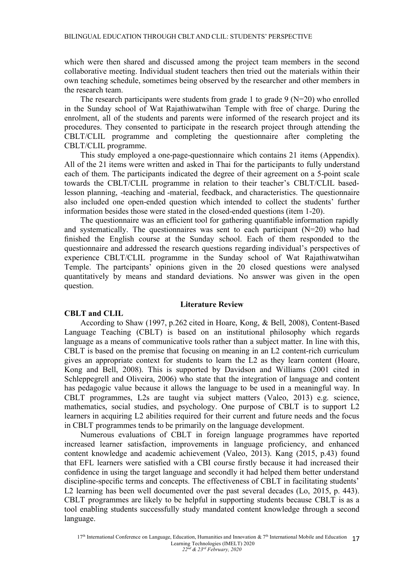which were then shared and discussed among the project team members in the second collaborative meeting. Individual student teachers then tried out the materials within their own teaching schedule, sometimes being observed by the researcher and other members in the research team.

The research participants were students from grade 1 to grade 9 ( $N=20$ ) who enrolled in the Sunday school of Wat Aajathiwatwihan Temple with free of charge. During the enrolment, all of the students and parents were informed of the research project and its procedures. They consented to participate in the research project through attending the CBLT/CLIL programme and completing the questionnaire after completing the CBLT/CLIL programme.

This study employed a one-page-questionnaire which contains 21 items (Appendix). All of the 21 items were written and asked in Thai for the participants to fully understand each of them. The participants indicated the degree of their agreement on a 5-point scale towards the CBLT/CLIL programme in relation to their teacher's CBLT/CLIL basedlesson planning, -teaching and -material, feedback, and characteristics. The questionnaire also included one open-ended question which intended to collect the students' further information besides those were stated in the closed-ended questions (item 1-20).

The questionnaire was an efficient tool for gathering quantifiable information rapidly and systematically. The questionnaires was sent to each participant  $(N=20)$  who had Fnished the English course at the Sunday school. Each of them responded to the questionnaire and addressed the research questions regarding individual's perspectives of experience CBLT/CLIL programme in the Sunday school of Wat Aajathiwatwihan Temple. The partcipants' opinions given in the 20 closed questions were analysed quantitatively by means and standard deviations. No answer was given in the open question.

#### Literature Review

#### CBLT and CLIL

According to Shaw (1997, p.262 cited in Hoare, Kong, & Bell, 2008), Content-Based Language Teaching (CBLT) is based on an institutional philosophy which regards language as a means of communicative tools rather than a subject matter. In line with this, CBLT is based on the premise that focusing on meaning in an L2 content-rich curriculum gives an appropriate context for students to learn the L2 as they learn content (Hoare, Kong and Bell, 2008). This is supported by Davidson and Williams (2001 cited in Schleppegrell and Oliveira, 2006) who state that the integration of language and content has pedagogic value because it allows the language to be used in a meaningful way. In CBLT programmes, L2s are taught via subject matters (Daleo, 201B) e.g. science, mathematics, social studies, and psychology. One purpose of CBLT is to support L2 learners in acquiring L2 abilities required for their current and future needs and the focus in CBLT programmes tends to be primarily on the language development.

Numerous evaluations of CBLT in foreign language programmes have reported increased learner satisfaction, improvements in language proficiency, and enhanced content knowledge and academic achievement (Valeo, 2013). Kang (2015, p.43) found that EFL learners were satisfied with a CBI course firstly because it had increased their conFdence in using the target language and secondly it had helped them better understand discipline-specific terms and concepts. The effectiveness of CBLT in facilitating students' L2 learning has been well documented over the past several decades (Lo, 2015, p. 443). CBLT programmes are likely to be helpful in supporting students because CBLT is as a tool enabling students successfully study mandated content knowledge through a second language.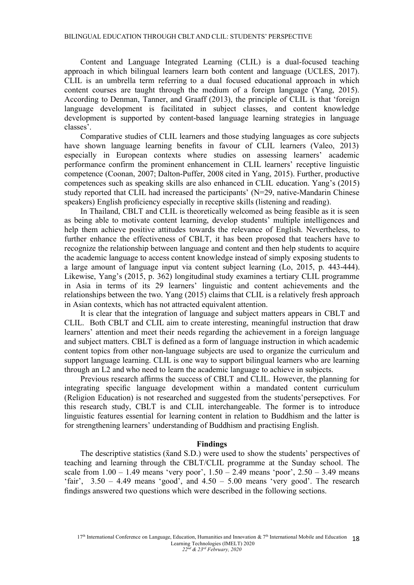Content and Language Integrated Learning (CLIL) is a dual-focused teaching approach in which bilingual learners learn both content and language (UCLES, 2017). CLIL is an umbrella term referring to a dual focused educational approach in which content courses are taught through the medium of a foreign language (Yang, 2015). According to Denman, Tanner, and Graaff (2013), the principle of CLIL is that 'foreign language development is facilitated in subject classes, and content knowledge development is supported by content-based language learning strategies in language classes'.

Comparative studies of CLIL learners and those studying languages as core subjects have shown language learning benefits in favour of CLIL learners (Valeo, 2013) especially in European contexts where studies on assessing learners' academic performance confirm the prominent enhancement in CLIL learners' receptive linguistic competence (Coonan, 2007; Dalton-Puffer, 2008 cited in Yang, 2015). Further, productive competences such as speaking skills are also enhanced in CLIL education. Yang's  $(2015)$ study reported that CLIL had increased the participants' ( $N=29$ , native-Mandarin Chinese speakers) English proficiency especially in receptive skills (listening and reading).

In Thailand, CBLT and CLIL is theoretically welcomed as being feasible as it is seen as being able to motivate content learning, develop students' multiple intelligences and help them achieve positive attitudes towards the relevance of English. Nevertheless, to further enhance the effectiveness of CBLT, it has been proposed that teachers have to recognize the relationship between language and content and then help students to acquire the academic language to access content knowledge instead of simply exposing students to a large amount of language input via content subject learning  $(L_0, 2015, p. 443-444)$ . Likewise, Yang's (2015, p. 362) longitudinal study examines a tertiary CLIL programme in Asia in terms of its 29 learners' linguistic and content achievements and the relationships between the two. Yang (2015) claims that CLIL is a relatively fresh approach in Asian contexts, which has not attracted equivalent attention.

It is clear that the integration of language and subject matters appears in CBLT and CLIL. Both CBLT and CLIL aim to create interesting, meaningful instruction that draw learners' attention and meet their needs regarding the achievement in a foreign language and subject matters. CBLT is deFned as a form of language instruction in which academic content topics from other non-language subjects are used to organize the curriculum and support language learning. CLIL is one way to support bilingual learners who are learning through an L2 and who need to learn the academic language to achieve in subjects.

Previous research affirms the success of CBLT and CLIL. However, the planning for integrating specific language development within a mandated content curriculum (Religion Education) is not researched and suggested from the students' persepctives. For this research study, CBLT is and CLIL interchangeable. The former is to introduce linguistic features essential for learning content in relation to Buddhism and the latter is for strengthening learners' understanding of Buddhism and practising English.

#### Findings

The descriptive statistics ( $\bar{x}$ and S.D.) were used to show the students' perspectives of teaching and learning through the CBLT/CLIL programme at the Sunday school. The scale from  $1.00 - 1.49$  means 'very poor',  $1.50 - 2.49$  means 'poor',  $2.50 - 3.49$  means 'fair',  $3.50 - 4.49$  means 'good', and  $4.50 - 5.00$  means 'very good'. The research Fndings answered two questions which were described in the following sections.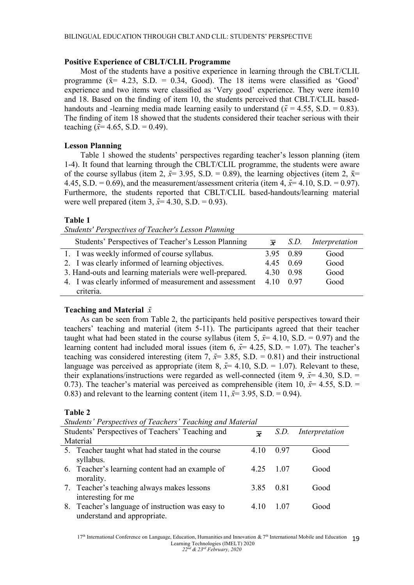## Positive Experience of CBLT/CLIL Programme

Most of the students have a positive experience in learning through the CBLT/CLIL programme ( $\bar{x}$  4.23, S.D. = 0.34, Good). The 18 items were classified as 'Good' experience and two items were classified as 'Very good' experience. They were item10 and 18. Based on the finding of item 10, the students perceived that CBLT/CLIL basedhandouts and -learning media made learning easily to understand ( $\bar{x} = 4.55$ , S.D. = 0.83). The finding of item 18 showed that the students considered their teacher serious with their teaching ( $\bar{x}$ = 4.65, S.D. = 0.49).

# Lesson Planning

Table 1 showed the students' perspectives regarding teacher's lesson planning (item 1-4). It found that learning through the CBLT/CLIL programme, the students were aware of the course syllabus (item 2,  $\bar{x}=3.95$ , S.D. = 0.89), the learning objectives (item 2,  $\bar{x}=$ 4.45, S.D. = 0.69), and the measurement/assessment criteria (item 4,  $\bar{x}$ = 4.10, S.D. = 0.97). Furthermore, the students reported that CBLT/CLIL based-handouts/learning material were well prepared (item 3,  $\bar{x}$ = 4.30, S.D. = 0.93).

## Table 1

Students' Perspectives of Teacher's Lesson Planning

| Students' Perspectives of Teacher's Lesson Planning     |           |           | $\bar{x}$ S.D. Interpretation |
|---------------------------------------------------------|-----------|-----------|-------------------------------|
| 1. I was weekly informed of course syllabus.            |           | 3.95 0.89 | Good                          |
| 2. I was clearly informed of learning objectives.       | 4.45 0.69 |           | Good                          |
| 3. Hand-outs and learning materials were well-prepared. | 4.30 0.98 |           | Good                          |
| 4. I was clearly informed of measurement and assessment | 4 10 0 97 |           | Good                          |
| criteria.                                               |           |           |                               |

## Teaching and Material  $\bar{x}$

As can be seen from Table 2, the participants held positive perspectives toward their teachers' teaching and material (item 5-11). The participants agreed that their teacher taught what had been stated in the course syllabus (item 5,  $\bar{x}$ = 4.10, S.D. = 0.97) and the learning content had included moral issues (item 6,  $\bar{x}$  = 4.25, S.D. = 1.07). The teacher's teaching was considered interesting (item 7,  $\bar{x}$  = 3.85, S.D. = 0.81) and their instructional language was perceived as appropriate (item 8,  $\bar{x}$ = 4.10, S.D. = 1.07). Relevant to these, their explanations/instructions were regarded as well-connected (item 9,  $\bar{x}$ = 4.30, S.D. = 0.73). The teacher's material was perceived as comprehensible (item 10,  $\bar{x}$  = 4.55, S.D. = 0.83) and relevant to the learning content (item 11,  $\bar{x}$ = 3.95, S.D. = 0.94).

## Table 2

| Students' Perspectives of Teachers' Teaching and Material |                                                  |                     |       |                |
|-----------------------------------------------------------|--------------------------------------------------|---------------------|-------|----------------|
|                                                           | Students' Perspectives of Teachers' Teaching and | $\overline{\bm{x}}$ | S.D.  | Interpretation |
|                                                           | Material                                         |                     |       |                |
|                                                           | 5. Teacher taught what had stated in the course  | 4.10                | 0.97  | Good           |
|                                                           | syllabus.                                        |                     |       |                |
|                                                           | 6. Teacher's learning content had an example of  | 4.25                | -1.07 | Good           |
|                                                           | morality.                                        |                     |       |                |
|                                                           | 7. Teacher's teaching always makes lessons       | 3.85                | 0.81  | Good           |
|                                                           | interesting for me                               |                     |       |                |
|                                                           | 8. Teacher's language of instruction was easy to | 4 10                | 1.07  | Good           |
|                                                           | understand and appropriate.                      |                     |       |                |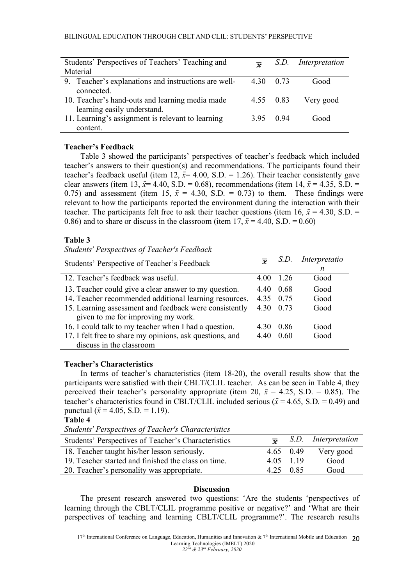| Students' Perspectives of Teachers' Teaching and     | $\overline{a}$ | S.D. | Interpretation |
|------------------------------------------------------|----------------|------|----------------|
| Material                                             |                |      |                |
| 9. Teacher's explanations and instructions are well- | 4.30 0.73      |      | Good           |
| connected.                                           |                |      |                |
| 10. Teacher's hand-outs and learning media made      | 4.55 0.83      |      | Very good      |
| learning easily understand.                          |                |      |                |
| 11. Learning's assignment is relevant to learning    | 395 094        |      | Good           |
| content.                                             |                |      |                |

# Teacher's Feedback

Table 3 showed the participants' perspectives of teacher's feedback which included teacher's answers to their question(s) and recommendations. The participants found their teacher's feedback useful (item 12,  $\bar{x}$ = 4.00, S.D. = 1.26). Their teacher consistently gave clear answers (item 13,  $\bar{x}$ = 4.40, S.D. = 0.68), recommendations (item 14,  $\bar{x}$  = 4.35, S.D. = 0.75) and assessment (item 15,  $\bar{x} = 4.30$ , S.D. = 0.73) to them. These findings were relevant to how the participants reported the environment during the interaction with their teacher. The participants felt free to ask their teacher questions (item 16,  $\bar{x} = 4.30$ , S.D. = 0.86) and to share or discuss in the classroom (item  $17$ ,  $\bar{x} = 4.40$ , S.D. = 0.60)

# Table 3

Students' Perspectives of Teacher's Feedback

| Students' Perspective of Teacher's Feedback              |           | S.D.    | Interpretatio |  |  |
|----------------------------------------------------------|-----------|---------|---------------|--|--|
|                                                          |           |         | n             |  |  |
| 12. Teacher's feedback was useful.                       | 4 00      | $-1.26$ | Good          |  |  |
| 13. Teacher could give a clear answer to my question.    | 440       | 0.68    | Good          |  |  |
| 14. Teacher recommended additional learning resources.   | 4.35 0.75 |         | Good          |  |  |
| 15. Learning assessment and feedback were consistently   | 4.30 0.73 |         | Good          |  |  |
| given to me for improving my work.                       |           |         |               |  |  |
| 16. I could talk to my teacher when I had a question.    | 4 30      | 0.86    | Good          |  |  |
| 17. I felt free to share my opinions, ask questions, and | 4.40      | 0.60    | Good          |  |  |
| discuss in the classroom                                 |           |         |               |  |  |

## Teacher's Characteristics

In terms of teacher's characteristics (item  $18-20$ ), the overall results show that the participants were satisfied with their CBLT/CLIL teacher. As can be seen in Table 4, they perceived their teacher's personality appropriate (item 20,  $\bar{x} = 4.25$ , S.D. = 0.85). The teacher's characteristics found in CBLT/CLIL included serious ( $\bar{x} = 4.65$ , S.D. = 0.49) and punctual ( $\bar{x}$  = 4.05, S.D. = 1.19).

Table 4

Students' Perspectives of Teacher's Characteristics

| Students' Perspectives of Teacher's Characteristics |             | $\overline{\bullet}$ S.D. Interpretation |
|-----------------------------------------------------|-------------|------------------------------------------|
| 18. Teacher taught his/her lesson seriously.        |             | 4.65 $0.49$ Very good                    |
| 19. Teacher started and finished the class on time. | 4 0 5 1 1 9 | Good                                     |
| 20. Teacher's personality was appropriate.          | 4.25 0.85   | Good                                     |

## Discussion

The present research answered two questions: 'Are the students 'perspectives of learning through the CBLT/CLIL programme positive or negative?' and 'What are their perspectives of teaching and learning CBLT/CLIL programme?'. The research results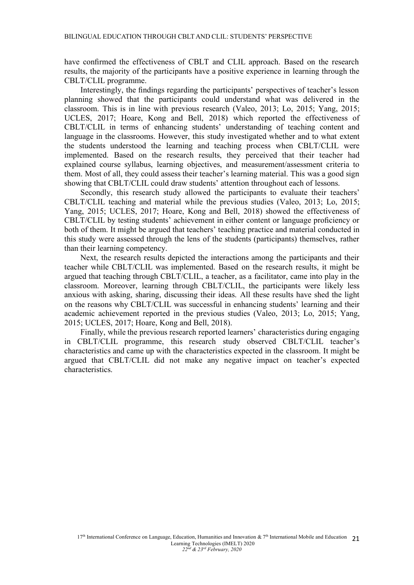have confirmed the effectiveness of CBLT and CLIL approach. Based on the research results, the majority of the participants have a positive experience in learning through the CBLT/CLIL programme.

Interestingly, the findings regarding the participants' perspectives of teacher's lesson planning showed that the participants could understand what was delivered in the classroom. This is in line with previous research (Valeo, 2013; Lo, 2015; Yang, 2015; UCLES, 2017; Hoare, Kong and Bell, 2018) which reported the effectiveness of CBLT/CLIL in terms of enhancing students' understanding of teaching content and language in the classrooms. However, this study investigated whether and to what extent the students understood the learning and teaching process when CBLT/CLIL were implemented. Based on the research results, they perceived that their teacher had explained course syllabus, learning objectives, and measurement/assessment criteria to them. Most of all, they could assess their teacher's learning material. This was a good sign showing that CBLT/CLIL could draw students' attention throughout each of lessons.

Secondly, this research study allowed the participants to evaluate their teachers' CBLT/CLIL teaching and material while the previous studies (Valeo, 2013; Lo, 2015; Yang, 2015; UCLES, 2017; Hoare, Kong and Bell, 2018) showed the effectiveness of CBLT/CLIL by testing students' achievement in either content or language proficiency or both of them. It might be argued that teachers' teaching practice and material conducted in this study were assessed through the lens of the students (participants) themselves, rather than their learning competency.

Next, the research results depicted the interactions among the participants and their teacher while CBLT/CLIL was implemented. Based on the research results, it might be argued that teaching through CBLT/CLIL, a teacher, as a facilitator, came into play in the classroom. Moreover, learning through CBLT/CLIL, the participants were likely less anxious with asking, sharing, discussing their ideas. All these results have shed the light on the reasons why CBLT/CLIL was successful in enhancing students' learning and their academic achievement reported in the previous studies (Valeo, 2013; Lo, 2015; Yang, 2015; UCLES, 2017; Hoare, Kong and Bell, 2018).

Finally, while the previous research reported learners' characteristics during engaging in CBLT/CLIL programme, this research study observed CBLT/CLIL teacher's characteristics and came up with the characteristics expected in the classroom. It might be argued that CBLT/CLIL did not make any negative impact on teacher's expected characteristics.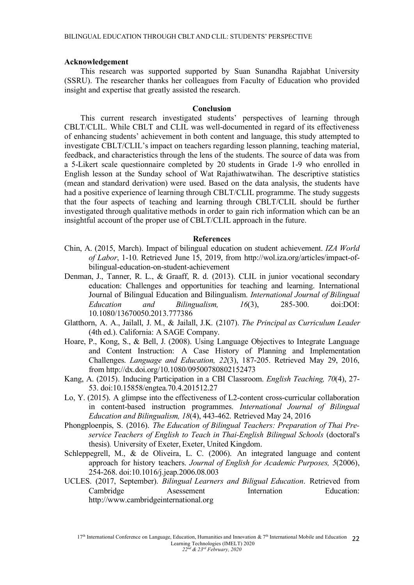#### Acknowledgement

This research was supported supported by Suan Sunandha Aajabhat University (SSAU). The researcher thanks her colleagues from Faculty of Education who provided insight and expertise that greatly assisted the research.

#### Conclusion

This current research investigated students' perspectives of learning through CBLT/CLIL. While CBLT and CLIL was well-documented in regard of its effectiveness of enhancing students' achievement in both content and language, this study attempted to investigate CBLT/CLIL's impact on teachers regarding lesson planning, teaching material, feedback, and characteristics through the lens of the students. The source of data was from a 5-Likert scale questionnaire completed by 20 students in Crade 1-9 who enrolled in English lesson at the Sunday school of Wat Aajathiwatwihan. The descriptive statistics (mean and standard derivation) were used. Based on the data analysis, the students have had a positive experience of learning through CBLT/CLIL programme. The study suggests that the four aspects of teaching and learning through CBLT/CLIL should be further investigated through qualitative methods in order to gain rich information which can be an insightful account of the proper use of CBLT/CLIL approach in the future.

#### **References**

- Chin, A. (2015, March). Impact of bilingual education on student achievement. IZA World of Labor, 1-10. Aetrieved June 15, 2019, from http://wol.iza.org/articles/impact-ofbilingual-education-on-student-achievement
- Denman, J., Tanner, R. L., & Graaff, R. d. (2013). CLIL in junior vocational secondary education: Challenges and opportunities for teaching and learning. International Journal of Bilingual Education and Bilingualism. International Journal of Bilingual  $Education$  and Bilingualism,  $16(3)$ ,  $285-300$ , doi:DOI: 10.1080/13670050.2013.777386
- Clatthorn, A. A., Jailall, J. M., & Jailall, J.K. (2107). The Principal as Curriculum Leader (4th ed.). California: A SACE Company.
- Hoare, P., Kong, S., & Bell, J. (2008). Using Language Objectives to Integrate Language and Content Instruction: A Case History of Planning and Implementation Challenges. Language and Education, 22(3), 187-205. Retrieved May 29, 2016, from http://dx.doi.org/10.1080/09500780802152473
- Kang, A. (2015). Inducing Participation in a CBI Classroom. English Teaching, 70(4), 27-53. doi:10.15858/engtea.70.4.201512.27
- Lo, Y. (2015). A glimpse into the effectiveness of L2-content cross-curricular collaboration in content-based instruction programmes. International Journal of Bilingual Education and Bilingualism,  $18(4)$ , 443-462. Retrieved May 24, 2016
- Phongploenpis, S. (2016). The Education of Bilingual Teachers: Preparation of Thai Preservice Teachers of English to Teach in Thai-English Bilingual Schools (doctoral's thesis). University of Exeter, Exeter, United Kingdom.
- Schleppegrell, M., & de Oliveira, L. C. (2006). An integrated language and content approach for history teachers. Journal of English for Academic Purposes, 5(2006), 254-268. doi:10.1016/j.jeap.2006.08.003
- UCLES. (2017, September). Bilingual Learners and Biligual Education. Aetrieved from Cambridge Asessement Internation Education: http://www.cambridgeinternational.org